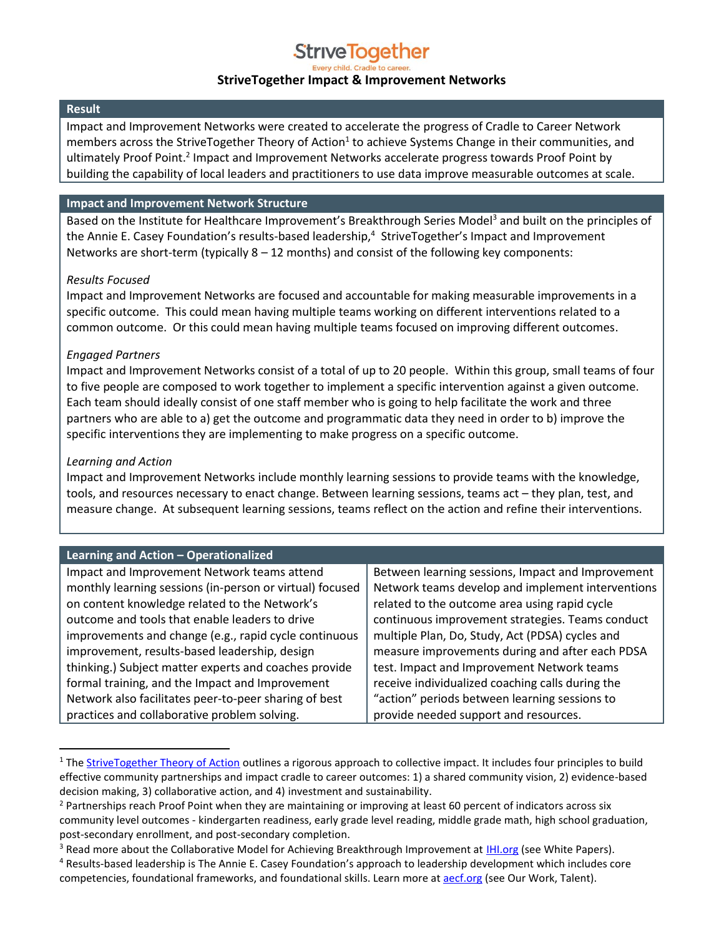# **Strive Together**

### **StriveTogether Impact & Improvement Networks**

#### **Result**

Impact and Improvement Networks were created to accelerate the progress of Cradle to Career Network members across the StriveTogether Theory of Action<sup>1</sup> to achieve Systems Change in their communities, and ultimately Proof Point.<sup>2</sup> Impact and Improvement Networks accelerate progress towards Proof Point by building the capability of local leaders and practitioners to use data improve measurable outcomes at scale.

#### **Impact and Improvement Network Structure**

Based on the Institute for Healthcare Improvement's Breakthrough Series Model<sup>3</sup> and built on the principles of the Annie E. Casey Foundation's results-based leadership, 4 StriveTogether's Impact and Improvement Networks are short-term (typically  $8 - 12$  months) and consist of the following key components:

#### *Results Focused*

Impact and Improvement Networks are focused and accountable for making measurable improvements in a specific outcome. This could mean having multiple teams working on different interventions related to a common outcome. Or this could mean having multiple teams focused on improving different outcomes.

## *Engaged Partners*

Impact and Improvement Networks consist of a total of up to 20 people. Within this group, small teams of four to five people are composed to work together to implement a specific intervention against a given outcome. Each team should ideally consist of one staff member who is going to help facilitate the work and three partners who are able to a) get the outcome and programmatic data they need in order to b) improve the specific interventions they are implementing to make progress on a specific outcome.

## *Learning and Action*

 $\overline{a}$ 

Impact and Improvement Networks include monthly learning sessions to provide teams with the knowledge, tools, and resources necessary to enact change. Between learning sessions, teams act – they plan, test, and measure change. At subsequent learning sessions, teams reflect on the action and refine their interventions.

| <b>Learning and Action - Operationalized</b>             |                                                   |  |
|----------------------------------------------------------|---------------------------------------------------|--|
| Impact and Improvement Network teams attend              | Between learning sessions, Impact and Improvement |  |
| monthly learning sessions (in-person or virtual) focused | Network teams develop and implement interventions |  |
| on content knowledge related to the Network's            | related to the outcome area using rapid cycle     |  |
| outcome and tools that enable leaders to drive           | continuous improvement strategies. Teams conduct  |  |
| improvements and change (e.g., rapid cycle continuous    | multiple Plan, Do, Study, Act (PDSA) cycles and   |  |
| improvement, results-based leadership, design            | measure improvements during and after each PDSA   |  |
| thinking.) Subject matter experts and coaches provide    | test. Impact and Improvement Network teams        |  |
| formal training, and the Impact and Improvement          | receive individualized coaching calls during the  |  |
| Network also facilitates peer-to-peer sharing of best    | "action" periods between learning sessions to     |  |
| practices and collaborative problem solving.             | provide needed support and resources.             |  |

<sup>&</sup>lt;sup>1</sup> The **StriveTogether Theory of Action** outlines a rigorous approach to collective impact. It includes four principles to build effective community partnerships and impact cradle to career outcomes: 1) a shared community vision, 2) evidence-based decision making, 3) collaborative action, and 4) investment and sustainability.

<sup>&</sup>lt;sup>2</sup> Partnerships reach Proof Point when they are maintaining or improving at least 60 percent of indicators across six community level outcomes - kindergarten readiness, early grade level reading, middle grade math, high school graduation, post-secondary enrollment, and post-secondary completion.

<sup>&</sup>lt;sup>3</sup> Read more about the Collaborative Model for Achieving Breakthrough Improvement at **IHI.org (see White Papers)**.

<sup>4</sup> Results-based leadership is The Annie E. Casey Foundation's approach to leadership development which includes core competencies, foundational frameworks, and foundational skills. Learn more at **aecf.org** (see Our Work, Talent).